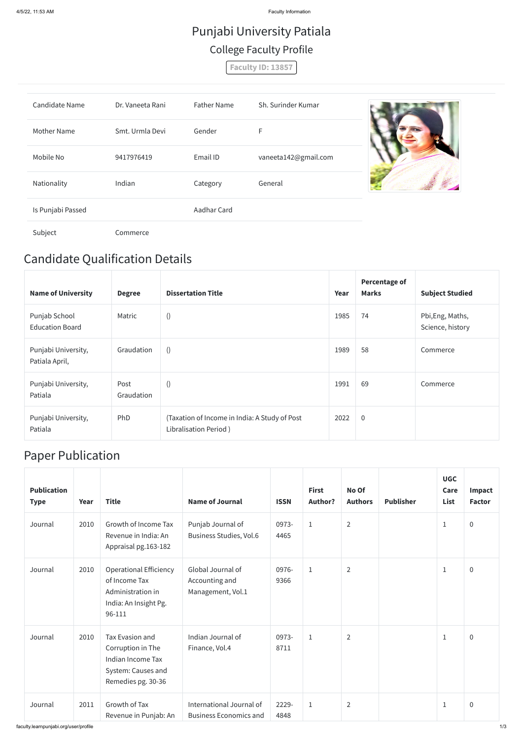## Candidate Qualification Details

| <b>Name of University</b>               | <b>Degree</b>      | <b>Dissertation Title</b>                                              | Year | <b>Percentage of</b><br><b>Marks</b> | <b>Subject Studied</b>               |
|-----------------------------------------|--------------------|------------------------------------------------------------------------|------|--------------------------------------|--------------------------------------|
| Punjab School<br><b>Education Board</b> | Matric             | $\left( \right)$                                                       | 1985 | 74                                   | Pbi, Eng, Maths,<br>Science, history |
| Punjabi University,<br>Patiala April,   | Graudation         | ()                                                                     | 1989 | 58                                   | Commerce                             |
| Punjabi University,<br>Patiala          | Post<br>Graudation | ()                                                                     | 1991 | 69                                   | Commerce                             |
| Punjabi University,<br>Patiala          | PhD                | (Taxation of Income in India: A Study of Post<br>Libralisation Period) | 2022 | $\overline{0}$                       |                                      |

## Paper Publication

| <b>Publication</b><br><b>Type</b> | Year | <b>Title</b>                                                                                                 | <b>Name of Journal</b>                                    | <b>ISSN</b>   | <b>First</b><br><b>Author?</b> | No Of<br><b>Authors</b> | <b>Publisher</b> | <b>UGC</b><br>Care<br>List | Impact<br><b>Factor</b> |
|-----------------------------------|------|--------------------------------------------------------------------------------------------------------------|-----------------------------------------------------------|---------------|--------------------------------|-------------------------|------------------|----------------------------|-------------------------|
| Journal                           | 2010 | Growth of Income Tax<br>Revenue in India: An<br>Appraisal pg.163-182                                         | Punjab Journal of<br><b>Business Studies, Vol.6</b>       | 0973-<br>4465 | $\mathbf{1}$                   | $\overline{2}$          |                  | $\mathbf{1}$               | $\overline{0}$          |
| Journal                           | 2010 | <b>Operational Efficiency</b><br>of Income Tax<br>Administration in<br>India: An Insight Pg.<br>96-111       | Global Journal of<br>Accounting and<br>Management, Vol.1  | 0976-<br>9366 | $\mathbf{1}$                   | $\overline{2}$          |                  | $\mathbf{1}$               | $\overline{0}$          |
| Journal                           | 2010 | <b>Tax Evasion and</b><br>Corruption in The<br>Indian Income Tax<br>System: Causes and<br>Remedies pg. 30-36 | Indian Journal of<br>Finance, Vol.4                       | 0973-<br>8711 | $\mathbf{1}$                   | $\overline{2}$          |                  | $\mathbf{1}$               | $\overline{0}$          |
| Journal                           | 2011 | Growth of Tax<br>Revenue in Punjab: An                                                                       | International Journal of<br><b>Business Economics and</b> | 2229-<br>4848 | $\mathbf{1}$                   | $\overline{2}$          |                  | $\mathbf{1}$               | $\overline{0}$          |

## Punjabi University Patiala College Faculty Profile

**Faculty ID: 13857**

| <b>Candidate Name</b> | Dr. Vaneeta Rani | <b>Father Name</b> | Sh. Surinder Kumar   |  |
|-----------------------|------------------|--------------------|----------------------|--|
| Mother Name           | Smt. Urmla Devi  | Gender             | F                    |  |
| Mobile No             | 9417976419       | Email ID           | vaneeta142@gmail.com |  |
| Nationality           | Indian           | Category           | General              |  |
| Is Punjabi Passed     |                  | Aadhar Card        |                      |  |
| Subject               | Commerce         |                    |                      |  |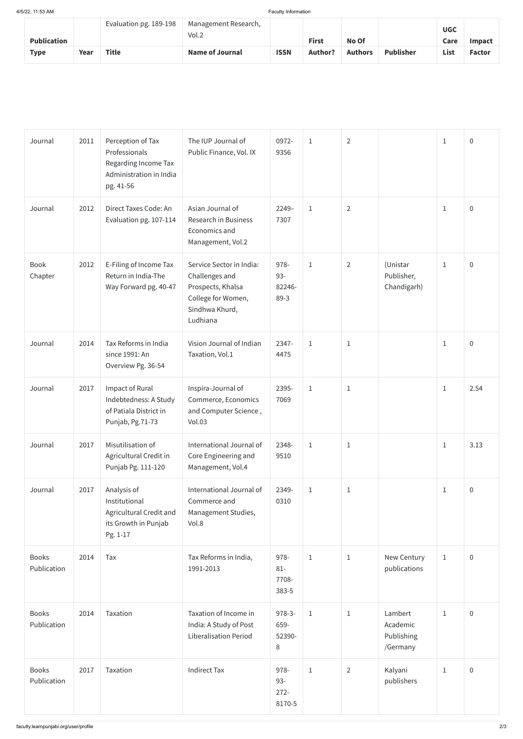| <b>Publication</b> |      | Evaluation pg. 189-198 | Management Research,<br>Vol.2 |             | <b>First</b>   | No Of          |                  | <b>UGC</b><br>Care | <b>Impact</b> |
|--------------------|------|------------------------|-------------------------------|-------------|----------------|----------------|------------------|--------------------|---------------|
| <b>Type</b>        | Year | <b>Title</b>           | <b>Name of Journal</b>        | <b>ISSN</b> | <b>Author?</b> | <b>Authors</b> | <b>Publisher</b> | List               | <b>Factor</b> |

| Journal                     | 2011 | Perception of Tax<br>Professionals<br>Regarding Income Tax<br>Administration in India<br>pg. 41-56 | The IUP Journal of<br>Public Finance, Vol. IX                                                                       | 0972-<br>9356                       | $\mathbf{1}$ | $\overline{2}$ |                                               | $\mathbf{1}$ | $\overline{0}$ |
|-----------------------------|------|----------------------------------------------------------------------------------------------------|---------------------------------------------------------------------------------------------------------------------|-------------------------------------|--------------|----------------|-----------------------------------------------|--------------|----------------|
| Journal                     | 2012 | Direct Taxes Code: An<br>Evaluation pg. 107-114                                                    | Asian Journal of<br>Research in Business<br>Economics and<br>Management, Vol.2                                      | $2249-$<br>7307                     | $\mathbf{1}$ | $\overline{2}$ |                                               | $\mathbf{1}$ | $\overline{0}$ |
| Book<br>Chapter             | 2012 | E-Filing of Income Tax<br>Return in India-The<br>Way Forward pg. 40-47                             | Service Sector in India:<br>Challenges and<br>Prospects, Khalsa<br>College for Women,<br>Sindhwa Khurd,<br>Ludhiana | 978-<br>$93 -$<br>82246-<br>$89-3$  | $\mathbf{1}$ | $\overline{2}$ | (Unistar<br>Publisher,<br>Chandigarh)         | $1\,$        | $\overline{0}$ |
| Journal                     | 2014 | Tax Reforms in India<br>since 1991: An<br>Overview Pg. 36-54                                       | Vision Journal of Indian<br>Taxation, Vol.1                                                                         | 2347-<br>4475                       | $\mathbf{1}$ | $\mathbf{1}$   |                                               | $\mathbf{1}$ | $\overline{0}$ |
| Journal                     | 2017 | Impact of Rural<br>Indebtedness: A Study<br>of Patiala District in<br>Punjab, Pg.71-73             | Inspira-Journal of<br>Commerce, Economics<br>and Computer Science,<br><b>Vol.03</b>                                 | 2395-<br>7069                       | $1\,$        | $\mathbf{1}$   |                                               | $1\,$        | 2.54           |
| Journal                     | 2017 | Misutilisation of<br>Agricultural Credit in<br>Punjab Pg. 111-120                                  | International Journal of<br>Core Engineering and<br>Management, Vol.4                                               | 2348-<br>9510                       | $\mathbf{1}$ | $\mathbf{1}$   |                                               | $\mathbf{1}$ | 3.13           |
| Journal                     | 2017 | Analysis of<br>Institutional<br>Agricultural Credit and<br>its Growth in Punjab<br>Pg. 1-17        | International Journal of<br>Commerce and<br>Management Studies,<br>Vol.8                                            | 2349-<br>0310                       | $\mathbf{1}$ | $\mathbf{1}$   |                                               | $1\,$        | $\overline{0}$ |
| <b>Books</b><br>Publication | 2014 | Tax                                                                                                | Tax Reforms in India,<br>1991-2013                                                                                  | 978-<br>$81 -$<br>7708-<br>383-5    | $\mathbf{1}$ | $\mathbf{1}$   | New Century<br>publications                   | $1\,$        | $\overline{0}$ |
| <b>Books</b><br>Publication | 2014 | Taxation                                                                                           | Taxation of Income in<br>India: A Study of Post<br><b>Liberalisation Period</b>                                     | $978-3-$<br>659-<br>52390-<br>8     | $\mathbf{1}$ | $\mathbf{1}$   | Lambert<br>Academic<br>Publishing<br>/Germany | $\mathbf{1}$ | $\overline{0}$ |
| <b>Books</b><br>Publication | 2017 | Taxation                                                                                           | <b>Indirect Tax</b>                                                                                                 | 978-<br>$93 -$<br>$272 -$<br>8170-5 | $\mathbf 1$  | $\overline{2}$ | Kalyani<br>publishers                         | $\mathbf{1}$ | $\overline{0}$ |